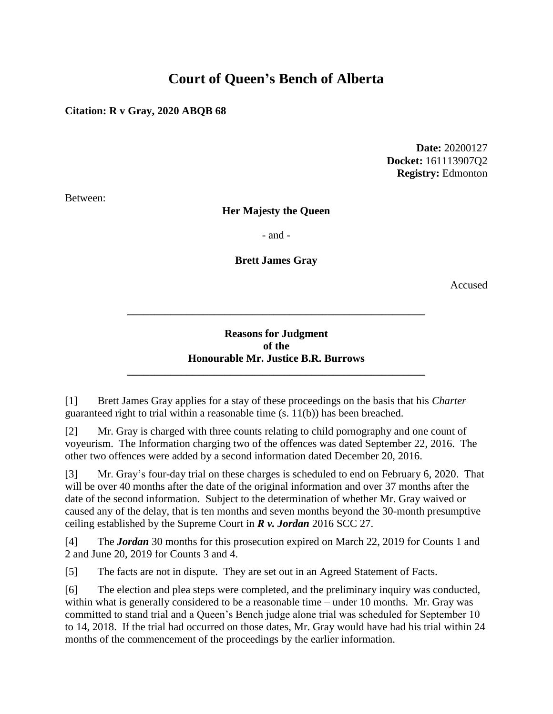# **Court of Queen's Bench of Alberta**

### **Citation: R v Gray, 2020 ABQB 68**

**Date:** 20200127 **Docket:** 161113907Q2 **Registry:** Edmonton

Between:

### **Her Majesty the Queen**

- and -

### **Brett James Gray**

Accused

### **Reasons for Judgment of the Honourable Mr. Justice B.R. Burrows**

**\_\_\_\_\_\_\_\_\_\_\_\_\_\_\_\_\_\_\_\_\_\_\_\_\_\_\_\_\_\_\_\_\_\_\_\_\_\_\_\_\_\_\_\_\_\_\_\_\_\_\_\_\_\_\_**

**\_\_\_\_\_\_\_\_\_\_\_\_\_\_\_\_\_\_\_\_\_\_\_\_\_\_\_\_\_\_\_\_\_\_\_\_\_\_\_\_\_\_\_\_\_\_\_\_\_\_\_\_\_\_\_**

[1] Brett James Gray applies for a stay of these proceedings on the basis that his *Charter* guaranteed right to trial within a reasonable time (s. 11(b)) has been breached.

[2] Mr. Gray is charged with three counts relating to child pornography and one count of voyeurism. The Information charging two of the offences was dated September 22, 2016. The other two offences were added by a second information dated December 20, 2016.

[3] Mr. Gray's four-day trial on these charges is scheduled to end on February 6, 2020. That will be over 40 months after the date of the original information and over 37 months after the date of the second information. Subject to the determination of whether Mr. Gray waived or caused any of the delay, that is ten months and seven months beyond the 30-month presumptive ceiling established by the Supreme Court in *R v. Jordan* 2016 SCC 27.

[4] The *Jordan* 30 months for this prosecution expired on March 22, 2019 for Counts 1 and 2 and June 20, 2019 for Counts 3 and 4.

[5] The facts are not in dispute. They are set out in an Agreed Statement of Facts.

[6] The election and plea steps were completed, and the preliminary inquiry was conducted, within what is generally considered to be a reasonable time – under 10 months. Mr. Gray was committed to stand trial and a Queen's Bench judge alone trial was scheduled for September 10 to 14, 2018. If the trial had occurred on those dates, Mr. Gray would have had his trial within 24 months of the commencement of the proceedings by the earlier information.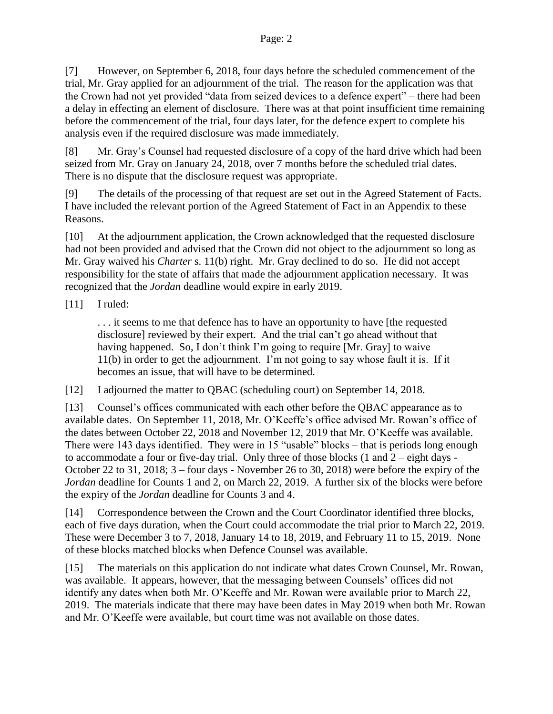[7] However, on September 6, 2018, four days before the scheduled commencement of the trial, Mr. Gray applied for an adjournment of the trial. The reason for the application was that the Crown had not yet provided "data from seized devices to a defence expert" – there had been a delay in effecting an element of disclosure. There was at that point insufficient time remaining before the commencement of the trial, four days later, for the defence expert to complete his analysis even if the required disclosure was made immediately.

[8] Mr. Gray's Counsel had requested disclosure of a copy of the hard drive which had been seized from Mr. Gray on January 24, 2018, over 7 months before the scheduled trial dates. There is no dispute that the disclosure request was appropriate.

[9] The details of the processing of that request are set out in the Agreed Statement of Facts. I have included the relevant portion of the Agreed Statement of Fact in an Appendix to these Reasons.

[10] At the adjournment application, the Crown acknowledged that the requested disclosure had not been provided and advised that the Crown did not object to the adjournment so long as Mr. Gray waived his *Charter* s. 11(b) right. Mr. Gray declined to do so. He did not accept responsibility for the state of affairs that made the adjournment application necessary. It was recognized that the *Jordan* deadline would expire in early 2019.

### [11] I ruled:

. . . it seems to me that defence has to have an opportunity to have [the requested disclosure] reviewed by their expert. And the trial can't go ahead without that having happened. So, I don't think I'm going to require [Mr. Gray] to waive 11(b) in order to get the adjournment. I'm not going to say whose fault it is. If it becomes an issue, that will have to be determined.

[12] I adjourned the matter to QBAC (scheduling court) on September 14, 2018.

[13] Counsel's offices communicated with each other before the QBAC appearance as to available dates. On September 11, 2018, Mr. O'Keeffe's office advised Mr. Rowan's office of the dates between October 22, 2018 and November 12, 2019 that Mr. O'Keeffe was available. There were 143 days identified. They were in 15 "usable" blocks – that is periods long enough to accommodate a four or five-day trial. Only three of those blocks (1 and 2 – eight days - October 22 to 31, 2018; 3 – four days - November 26 to 30, 2018) were before the expiry of the *Jordan* deadline for Counts 1 and 2, on March 22, 2019. A further six of the blocks were before the expiry of the *Jordan* deadline for Counts 3 and 4.

[14] Correspondence between the Crown and the Court Coordinator identified three blocks, each of five days duration, when the Court could accommodate the trial prior to March 22, 2019. These were December 3 to 7, 2018, January 14 to 18, 2019, and February 11 to 15, 2019. None of these blocks matched blocks when Defence Counsel was available.

[15] The materials on this application do not indicate what dates Crown Counsel, Mr. Rowan, was available. It appears, however, that the messaging between Counsels' offices did not identify any dates when both Mr. O'Keeffe and Mr. Rowan were available prior to March 22, 2019. The materials indicate that there may have been dates in May 2019 when both Mr. Rowan and Mr. O'Keeffe were available, but court time was not available on those dates.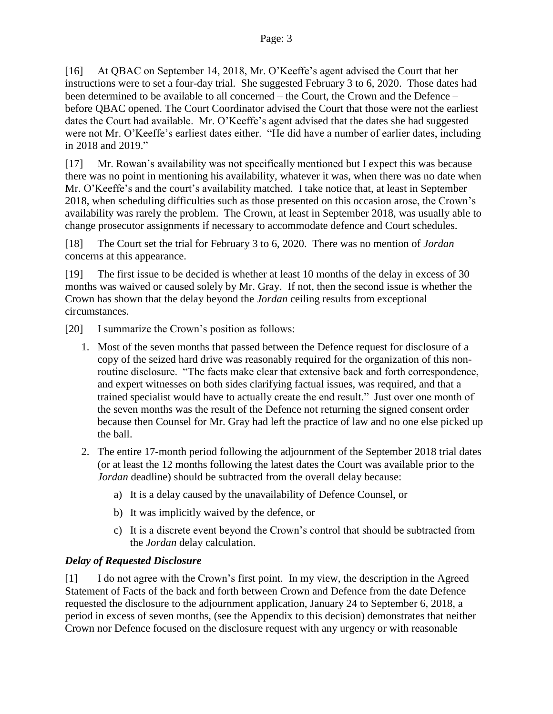[16] At QBAC on September 14, 2018, Mr. O'Keeffe's agent advised the Court that her instructions were to set a four-day trial. She suggested February 3 to 6, 2020. Those dates had been determined to be available to all concerned – the Court, the Crown and the Defence – before QBAC opened. The Court Coordinator advised the Court that those were not the earliest dates the Court had available. Mr. O'Keeffe's agent advised that the dates she had suggested were not Mr. O'Keeffe's earliest dates either. "He did have a number of earlier dates, including in 2018 and 2019."

[17] Mr. Rowan's availability was not specifically mentioned but I expect this was because there was no point in mentioning his availability, whatever it was, when there was no date when Mr. O'Keeffe's and the court's availability matched. I take notice that, at least in September 2018, when scheduling difficulties such as those presented on this occasion arose, the Crown's availability was rarely the problem. The Crown, at least in September 2018, was usually able to change prosecutor assignments if necessary to accommodate defence and Court schedules.

[18] The Court set the trial for February 3 to 6, 2020. There was no mention of *Jordan* concerns at this appearance.

[19] The first issue to be decided is whether at least 10 months of the delay in excess of 30 months was waived or caused solely by Mr. Gray. If not, then the second issue is whether the Crown has shown that the delay beyond the *Jordan* ceiling results from exceptional circumstances.

[20] I summarize the Crown's position as follows:

- 1. Most of the seven months that passed between the Defence request for disclosure of a copy of the seized hard drive was reasonably required for the organization of this nonroutine disclosure. "The facts make clear that extensive back and forth correspondence, and expert witnesses on both sides clarifying factual issues, was required, and that a trained specialist would have to actually create the end result." Just over one month of the seven months was the result of the Defence not returning the signed consent order because then Counsel for Mr. Gray had left the practice of law and no one else picked up the ball.
- 2. The entire 17-month period following the adjournment of the September 2018 trial dates (or at least the 12 months following the latest dates the Court was available prior to the *Jordan* deadline) should be subtracted from the overall delay because:
	- a) It is a delay caused by the unavailability of Defence Counsel, or
	- b) It was implicitly waived by the defence, or
	- c) It is a discrete event beyond the Crown's control that should be subtracted from the *Jordan* delay calculation.

# *Delay of Requested Disclosure*

[1] I do not agree with the Crown's first point. In my view, the description in the Agreed Statement of Facts of the back and forth between Crown and Defence from the date Defence requested the disclosure to the adjournment application, January 24 to September 6, 2018, a period in excess of seven months, (see the Appendix to this decision) demonstrates that neither Crown nor Defence focused on the disclosure request with any urgency or with reasonable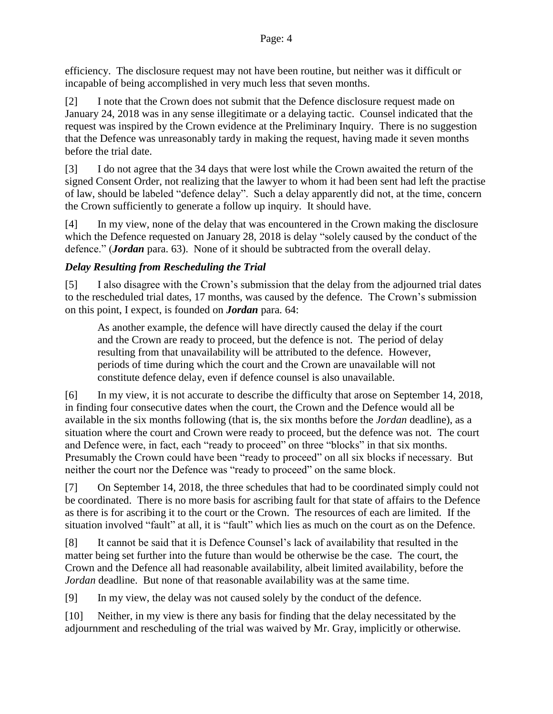efficiency. The disclosure request may not have been routine, but neither was it difficult or incapable of being accomplished in very much less that seven months.

[2] I note that the Crown does not submit that the Defence disclosure request made on January 24, 2018 was in any sense illegitimate or a delaying tactic. Counsel indicated that the request was inspired by the Crown evidence at the Preliminary Inquiry. There is no suggestion that the Defence was unreasonably tardy in making the request, having made it seven months before the trial date.

[3] I do not agree that the 34 days that were lost while the Crown awaited the return of the signed Consent Order, not realizing that the lawyer to whom it had been sent had left the practise of law, should be labeled "defence delay". Such a delay apparently did not, at the time, concern the Crown sufficiently to generate a follow up inquiry. It should have.

[4] In my view, none of the delay that was encountered in the Crown making the disclosure which the Defence requested on January 28, 2018 is delay "solely caused by the conduct of the defence." (*Jordan* para. 63). None of it should be subtracted from the overall delay.

# *Delay Resulting from Rescheduling the Trial*

[5] I also disagree with the Crown's submission that the delay from the adjourned trial dates to the rescheduled trial dates, 17 months, was caused by the defence. The Crown's submission on this point, I expect, is founded on *Jordan* para. 64:

As another example, the defence will have directly caused the delay if the court and the Crown are ready to proceed, but the defence is not. The period of delay resulting from that unavailability will be attributed to the defence. However, periods of time during which the court and the Crown are unavailable will not constitute defence delay, even if defence counsel is also unavailable.

[6] In my view, it is not accurate to describe the difficulty that arose on September 14, 2018, in finding four consecutive dates when the court, the Crown and the Defence would all be available in the six months following (that is, the six months before the *Jordan* deadline), as a situation where the court and Crown were ready to proceed, but the defence was not. The court and Defence were, in fact, each "ready to proceed" on three "blocks" in that six months. Presumably the Crown could have been "ready to proceed" on all six blocks if necessary. But neither the court nor the Defence was "ready to proceed" on the same block.

[7] On September 14, 2018, the three schedules that had to be coordinated simply could not be coordinated. There is no more basis for ascribing fault for that state of affairs to the Defence as there is for ascribing it to the court or the Crown. The resources of each are limited. If the situation involved "fault" at all, it is "fault" which lies as much on the court as on the Defence.

[8] It cannot be said that it is Defence Counsel's lack of availability that resulted in the matter being set further into the future than would be otherwise be the case. The court, the Crown and the Defence all had reasonable availability, albeit limited availability, before the *Jordan* deadline. But none of that reasonable availability was at the same time.

[9] In my view, the delay was not caused solely by the conduct of the defence.

[10] Neither, in my view is there any basis for finding that the delay necessitated by the adjournment and rescheduling of the trial was waived by Mr. Gray, implicitly or otherwise.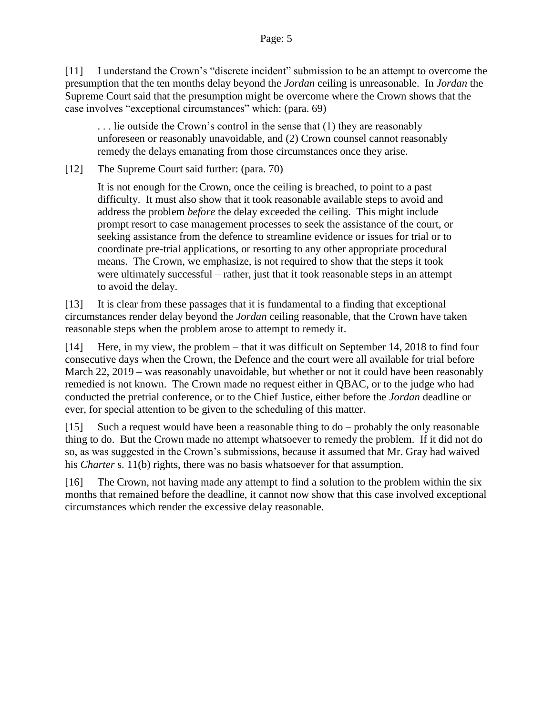[11] I understand the Crown's "discrete incident" submission to be an attempt to overcome the presumption that the ten months delay beyond the *Jordan* ceiling is unreasonable. In *Jordan* the Supreme Court said that the presumption might be overcome where the Crown shows that the case involves "exceptional circumstances" which: (para. 69)

. . . lie outside the Crown's control in the sense that (1) they are reasonably unforeseen or reasonably unavoidable, and (2) Crown counsel cannot reasonably remedy the delays emanating from those circumstances once they arise.

[12] The Supreme Court said further: (para. 70)

It is not enough for the Crown, once the ceiling is breached, to point to a past difficulty. It must also show that it took reasonable available steps to avoid and address the problem *before* the delay exceeded the ceiling. This might include prompt resort to case management processes to seek the assistance of the court, or seeking assistance from the defence to streamline evidence or issues for trial or to coordinate pre-trial applications, or resorting to any other appropriate procedural means. The Crown, we emphasize, is not required to show that the steps it took were ultimately successful – rather, just that it took reasonable steps in an attempt to avoid the delay.

[13] It is clear from these passages that it is fundamental to a finding that exceptional circumstances render delay beyond the *Jordan* ceiling reasonable, that the Crown have taken reasonable steps when the problem arose to attempt to remedy it.

[14] Here, in my view, the problem – that it was difficult on September 14, 2018 to find four consecutive days when the Crown, the Defence and the court were all available for trial before March 22, 2019 – was reasonably unavoidable, but whether or not it could have been reasonably remedied is not known. The Crown made no request either in QBAC, or to the judge who had conducted the pretrial conference, or to the Chief Justice, either before the *Jordan* deadline or ever, for special attention to be given to the scheduling of this matter.

[15] Such a request would have been a reasonable thing to do – probably the only reasonable thing to do. But the Crown made no attempt whatsoever to remedy the problem. If it did not do so, as was suggested in the Crown's submissions, because it assumed that Mr. Gray had waived his *Charter* s. 11(b) rights, there was no basis whatsoever for that assumption.

[16] The Crown, not having made any attempt to find a solution to the problem within the six months that remained before the deadline, it cannot now show that this case involved exceptional circumstances which render the excessive delay reasonable.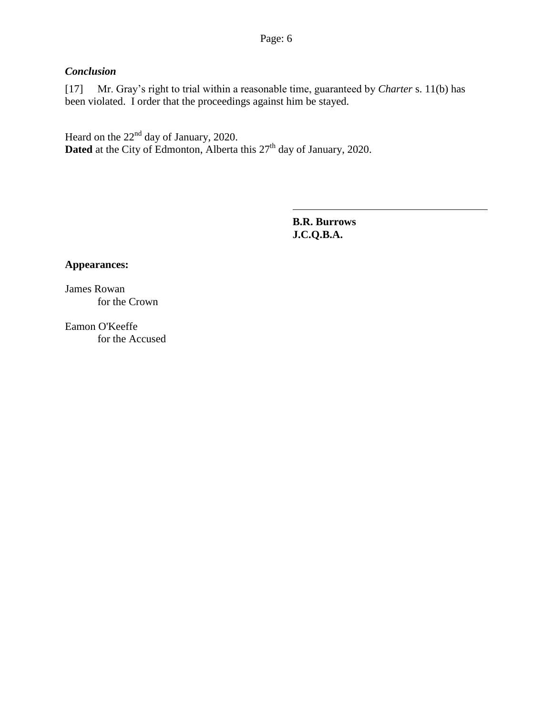# *Conclusion*

[17] Mr. Gray's right to trial within a reasonable time, guaranteed by *Charter* s. 11(b) has been violated. I order that the proceedings against him be stayed.

Heard on the  $22<sup>nd</sup>$  day of January, 2020. **Dated** at the City of Edmonton, Alberta this 27<sup>th</sup> day of January, 2020.

> **B.R. Burrows J.C.Q.B.A.**

### **Appearances:**

James Rowan for the Crown

Eamon O'Keeffe for the Accused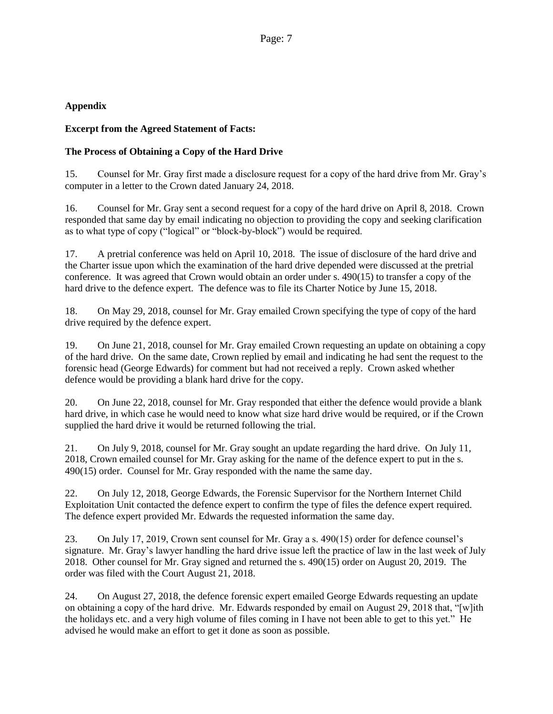### **Appendix**

#### **Excerpt from the Agreed Statement of Facts:**

### **The Process of Obtaining a Copy of the Hard Drive**

15. Counsel for Mr. Gray first made a disclosure request for a copy of the hard drive from Mr. Gray's computer in a letter to the Crown dated January 24, 2018.

16. Counsel for Mr. Gray sent a second request for a copy of the hard drive on April 8, 2018. Crown responded that same day by email indicating no objection to providing the copy and seeking clarification as to what type of copy ("logical" or "block-by-block") would be required.

17. A pretrial conference was held on April 10, 2018. The issue of disclosure of the hard drive and the Charter issue upon which the examination of the hard drive depended were discussed at the pretrial conference. It was agreed that Crown would obtain an order under s. 490(15) to transfer a copy of the hard drive to the defence expert. The defence was to file its Charter Notice by June 15, 2018.

18. On May 29, 2018, counsel for Mr. Gray emailed Crown specifying the type of copy of the hard drive required by the defence expert.

19. On June 21, 2018, counsel for Mr. Gray emailed Crown requesting an update on obtaining a copy of the hard drive. On the same date, Crown replied by email and indicating he had sent the request to the forensic head (George Edwards) for comment but had not received a reply. Crown asked whether defence would be providing a blank hard drive for the copy.

20. On June 22, 2018, counsel for Mr. Gray responded that either the defence would provide a blank hard drive, in which case he would need to know what size hard drive would be required, or if the Crown supplied the hard drive it would be returned following the trial.

21. On July 9, 2018, counsel for Mr. Gray sought an update regarding the hard drive. On July 11, 2018, Crown emailed counsel for Mr. Gray asking for the name of the defence expert to put in the s. 490(15) order. Counsel for Mr. Gray responded with the name the same day.

22. On July 12, 2018, George Edwards, the Forensic Supervisor for the Northern Internet Child Exploitation Unit contacted the defence expert to confirm the type of files the defence expert required. The defence expert provided Mr. Edwards the requested information the same day.

23. On July 17, 2019, Crown sent counsel for Mr. Gray a s. 490(15) order for defence counsel's signature. Mr. Gray's lawyer handling the hard drive issue left the practice of law in the last week of July 2018. Other counsel for Mr. Gray signed and returned the s. 490(15) order on August 20, 2019. The order was filed with the Court August 21, 2018.

24. On August 27, 2018, the defence forensic expert emailed George Edwards requesting an update on obtaining a copy of the hard drive. Mr. Edwards responded by email on August 29, 2018 that, "[w]ith the holidays etc. and a very high volume of files coming in I have not been able to get to this yet." He advised he would make an effort to get it done as soon as possible.